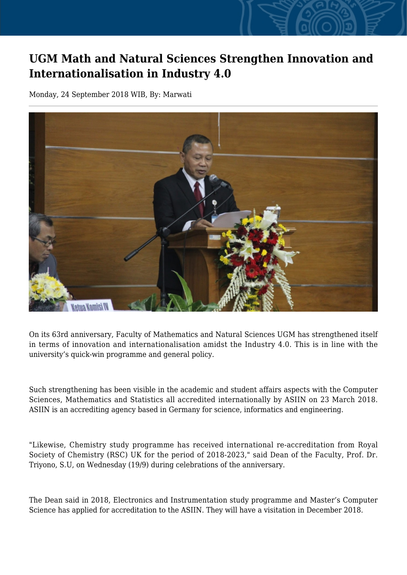## **UGM Math and Natural Sciences Strengthen Innovation and Internationalisation in Industry 4.0**

Monday, 24 September 2018 WIB, By: Marwati



On its 63rd anniversary, Faculty of Mathematics and Natural Sciences UGM has strengthened itself in terms of innovation and internationalisation amidst the Industry 4.0. This is in line with the university's quick-win programme and general policy.

Such strengthening has been visible in the academic and student affairs aspects with the Computer Sciences, Mathematics and Statistics all accredited internationally by ASIIN on 23 March 2018. ASIIN is an accrediting agency based in Germany for science, informatics and engineering.

"Likewise, Chemistry study programme has received international re-accreditation from Royal Society of Chemistry (RSC) UK for the period of 2018-2023," said Dean of the Faculty, Prof. Dr. Triyono, S.U, on Wednesday (19/9) during celebrations of the anniversary.

The Dean said in 2018, Electronics and Instrumentation study programme and Master's Computer Science has applied for accreditation to the ASIIN. They will have a visitation in December 2018.